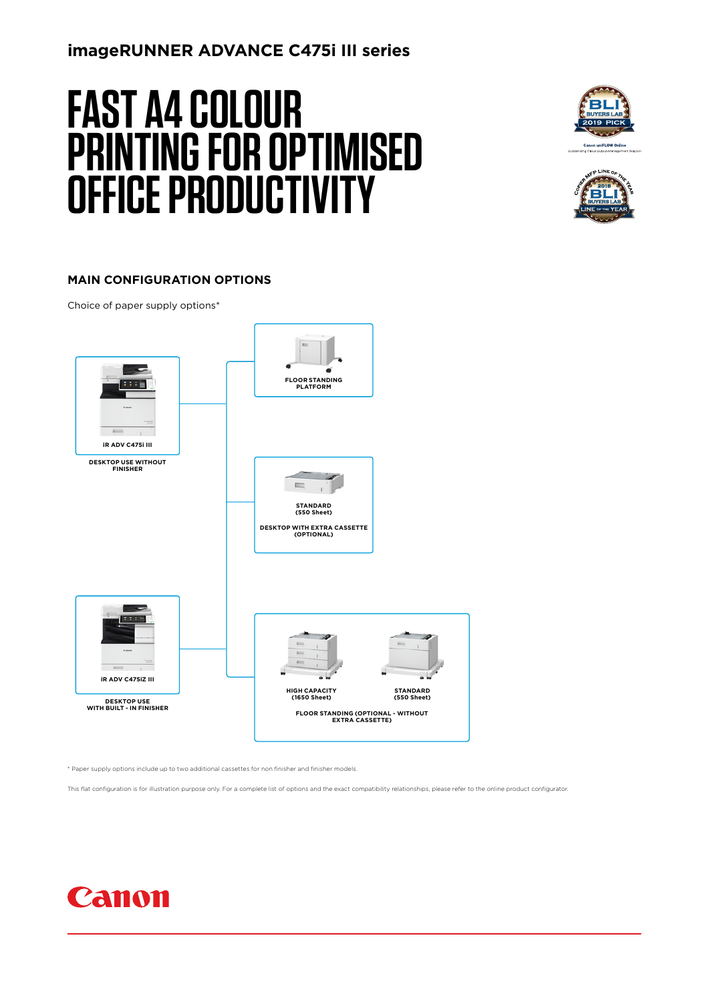## **imageRUNNER ADVANCE C475i III series**

# **FAST A4 COLOUR PRINTING FOR OPTIMISED OFFICE PRODUCTIVITY**





#### **MAIN CONFIGURATION OPTIONS**

Choice of paper supply options\*



\* Paper supply options include up to two additional cassettes for non finisher and finisher models.

This flat configuration is for illustration purpose only. For a complete list of options and the exact compatibility relationships, please refer to the online product configurator

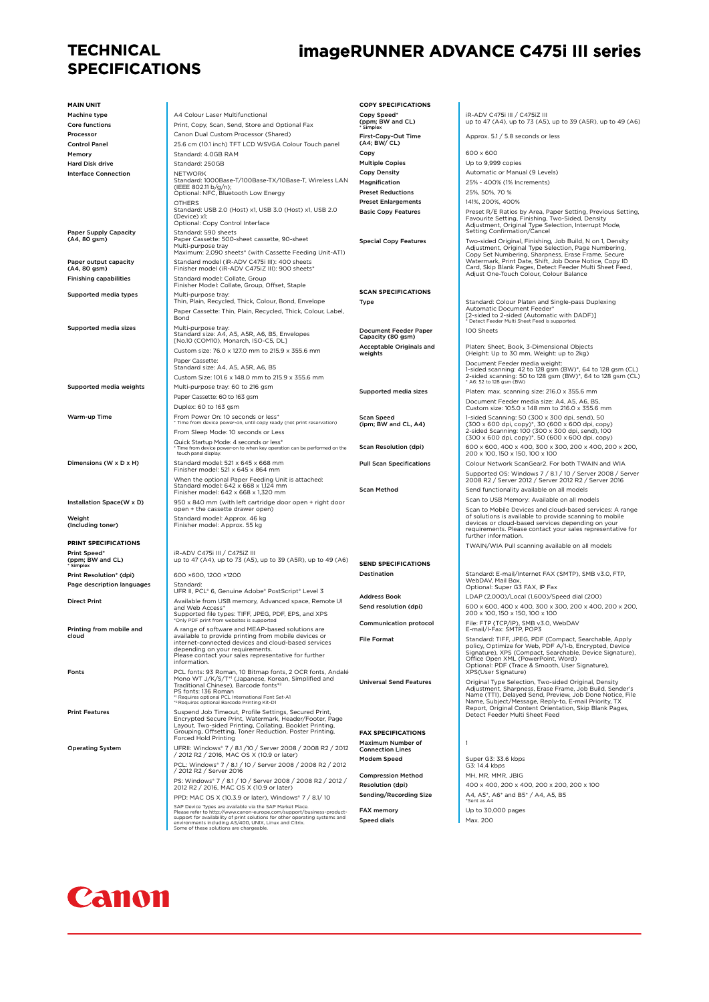## **TECHNICAL SPECIFICATIONS**

# **imageRUNNER ADVANCE C475i III series**

| <b>MAIN UNIT</b>                              |                                                                                                                                                                                  | <b>COPY SPECIFICATIONS</b>                               |                                                                                                                                               |
|-----------------------------------------------|----------------------------------------------------------------------------------------------------------------------------------------------------------------------------------|----------------------------------------------------------|-----------------------------------------------------------------------------------------------------------------------------------------------|
| <b>Machine type</b>                           | A4 Colour Laser Multifunctional                                                                                                                                                  | Copy Speed*                                              | iR-ADV C475i III / C475iZ III                                                                                                                 |
| Core functions                                | Print, Copy, Scan, Send, Store and Optional Fax                                                                                                                                  | (ppm; BW and CL)<br>Simplex                              | up to 47 (A4), up to 73 (A5), up to 39 (A5R), up to 49 (A6)                                                                                   |
| Processor                                     | Canon Dual Custom Processor (Shared)                                                                                                                                             | First-Copy-Out Time                                      | Approx. 5.1 / 5.8 seconds or less                                                                                                             |
| <b>Control Panel</b><br>Memory                | 25.6 cm (10.1 inch) TFT LCD WSVGA Colour Touch panel<br>Standard: 4.0GB RAM                                                                                                      | (A4; BW/ CL)<br>Copy                                     | 600 x 600                                                                                                                                     |
| <b>Hard Disk drive</b>                        | Standard: 250GB                                                                                                                                                                  | <b>Multiple Copies</b>                                   | Up to 9,999 copies                                                                                                                            |
| <b>Interface Connection</b>                   | <b>NFTWORK</b>                                                                                                                                                                   | <b>Copy Density</b>                                      | Automatic or Manual (9 Levels)                                                                                                                |
|                                               | Standard: 1000Base-T/100Base-TX/10Base-T, Wireless LAN<br>(IEEE 802.11 b/g/n);                                                                                                   | Magnification                                            | 25% - 400% (1% Increments)                                                                                                                    |
|                                               | Optional: NFC, Bluetooth Low Energy                                                                                                                                              | <b>Preset Reductions</b>                                 | 25%, 50%, 70 %                                                                                                                                |
|                                               | <b>OTHERS</b><br>Standard: USB 2.0 (Host) x1, USB 3.0 (Host) x1, USB 2.0                                                                                                         | <b>Preset Enlargements</b><br><b>Basic Copy Features</b> | 141%, 200%, 400%<br>Preset R/E Ratios by Area, Paper Setting, Previous Setting,                                                               |
|                                               | (Device) x1;<br>Optional: Copy Control Interface<br>Standard: 590 sheets                                                                                                         |                                                          | Favourite Setting, Finishing, Two-Sided, Density<br>Adjustment, Original Type Selection, Interrupt Mode,<br>Setting Confirmation/Cancel       |
| <b>Paper Supply Capacity</b><br>(A4, 80 gsm)  | Paper Cassette: 500-sheet cassette, 90-sheet                                                                                                                                     | <b>Special Copy Features</b>                             | Two-sided Original, Finishing, Job Build, N on 1, Density                                                                                     |
|                                               | Multi-purpose tray<br>Maximum: 2,090 sheets* (with Cassette Feeding Unit-AT1)                                                                                                    |                                                          | Adjustment, Original Type Selection, Page Numbering,<br>Copy Set Numbering, Sharpness, Erase Frame, Secure                                    |
| Paper output capacity                         | Standard model (iR-ADV C475i III): 400 sheets                                                                                                                                    |                                                          | Watermark, Print Date, Shift, Job Done Notice, Copy ID<br>Card, Skip Blank Pages, Detect Feeder Multi Sheet Feed,                             |
| (A4, 80 gsm)<br><b>Finishing capabilities</b> | Finisher model (iR-ADV C475iZ III): 900 sheets*<br>Standard model: Collate, Group                                                                                                |                                                          | Adjust One-Touch Colour, Colour Balance                                                                                                       |
|                                               | Finisher Model: Collate, Group, Offset, Staple                                                                                                                                   | <b>SCAN SPECIFICATIONS</b>                               |                                                                                                                                               |
| Supported media types                         | Multi-purpose tray:<br>Thin, Plain, Recycled, Thick, Colour, Bond, Envelope                                                                                                      | Type                                                     | Standard: Colour Platen and Single-pass Duplexing                                                                                             |
|                                               | Paper Cassette: Thin, Plain, Recycled, Thick, Colour, Label,<br>Bond                                                                                                             |                                                          | Automatic Document Feeder*<br>[2-sided to 2-sided (Automatic with DADF)]<br>Detect Feeder Multi Sheet Feed is supported.                      |
| Supported media sizes                         | Multi-purpose tray:<br>Standard size: A4, A5, A5R, A6, B5, Envelopes                                                                                                             | <b>Document Feeder Paper</b>                             | 100 Sheets                                                                                                                                    |
|                                               | [No.10 (COM10), Monarch, ISO-C5, DL]<br>Custom size: 76.0 x 127.0 mm to 215.9 x 355.6 mm                                                                                         | Capacity (80 gsm)<br>Acceptable Originals and            | Platen: Sheet, Book, 3-Dimensional Objects                                                                                                    |
|                                               | Paper Cassette:                                                                                                                                                                  | weights                                                  | (Height: Up to 30 mm, Weight: up to 2kg)<br>Document Feeder media weight:                                                                     |
|                                               | Standard size: A4, A5, A5R, A6, B5                                                                                                                                               |                                                          | 1-sided scanning: 42 to 128 gsm (BW)*, 64 to 128 gsm (CL)<br>2-sided scanning: 50 to 128 gsm (BW)*, 64 to 128 gsm (CL)                        |
| Supported media weights                       | Custom Size: 101.6 x 148.0 mm to 215.9 x 355.6 mm<br>Multi-purpose tray: 60 to 216 gsm                                                                                           |                                                          | * A6: 52 to 128 gsm (BW)                                                                                                                      |
|                                               | Paper Cassette: 60 to 163 gsm                                                                                                                                                    | Supported media sizes                                    | Platen: max. scanning size: 216.0 x 355.6 mm                                                                                                  |
|                                               | Duplex: 60 to 163 gsm                                                                                                                                                            |                                                          | Document Feeder media size: A4, A5, A6, B5,<br>Custom size: 105.0 x 148 mm to 216.0 x 355.6 mm                                                |
| Warm-up Time                                  | From Power On: 10 seconds or less*<br>* Time from device power-on, until copy ready (not print reservation)                                                                      | <b>Scan Speed</b>                                        | 1-sided Scanning: 50 (300 x 300 dpi, send), 50                                                                                                |
|                                               | From Sleep Mode: 10 seconds or Less                                                                                                                                              | (ipm; BW and CL, A4)                                     | (300 x 600 dpi, copy)*, 30 (600 x 600 dpi, copy)<br>2-sided Scanning: 100 (300 x 300 dpi, send), 100                                          |
|                                               | Quick Startup Mode: 4 seconds or less*<br>Time from device power-on to when key operation can be performed on the<br>touch panel display.                                        | <b>Scan Resolution (dpi)</b>                             | (300 x 600 dpi, copy)*, 50 (600 x 600 dpi, copy)<br>600 x 600, 400 x 400, 300 x 300, 200 x 400, 200 x 200,<br>200 x 100, 150 x 150, 100 x 100 |
| Dimensions (W x D x H)                        | Standard model: 521 x 645 x 668 mm                                                                                                                                               | <b>Pull Scan Specifications</b>                          | Colour Network ScanGear2. For both TWAIN and WIA                                                                                              |
|                                               | Finisher model: 521 x 645 x 864 mm                                                                                                                                               |                                                          | Supported OS: Windows 7 / 8.1 / 10 / Server 2008 / Server                                                                                     |
|                                               | When the optional Paper Feeding Unit is attached:<br>Standard model: 642 x 668 x 1,124 mm                                                                                        | <b>Scan Method</b>                                       | 2008 R2 / Server 2012 / Server 2012 R2 / Server 2016<br>Send functionality available on all models                                            |
|                                               | Finisher model: 642 x 668 x 1,320 mm                                                                                                                                             |                                                          | Scan to USB Memory: Available on all models                                                                                                   |
| Installation Space(W x D)                     | 950 x 840 mm (with left cartridge door open + right door<br>open + the cassette drawer open)                                                                                     |                                                          | Scan to Mobile Devices and cloud-based services: A range                                                                                      |
| Weight<br>(Including toner)                   | Standard model: Approx. 46 kg<br>Finisher model: Approx. 55 kg                                                                                                                   |                                                          | of solutions is available to provide scanning to mobile<br>devices or cloud-based services depending on your                                  |
|                                               |                                                                                                                                                                                  |                                                          | requirements. Please contact your sales representative for<br>further information.                                                            |
| PRINT SPECIFICATIONS                          |                                                                                                                                                                                  |                                                          | TWAIN/WIA Pull scanning available on all models                                                                                               |
| Print Speed*<br>(ppm; BW and CL)              | iR-ADV C475i III / C475iZ III<br>up to 47 (A4), up to 73 (A5), up to 39 (A5R), up to 49 (A6)                                                                                     | <b>SEND SPECIFICATIONS</b>                               |                                                                                                                                               |
| * Simplex<br>Print Resolution* (dpi)          | 600 ×600, 1200 ×1200                                                                                                                                                             | Destination                                              | Standard: E-mail/Internet FAX (SMTP), SMB v3.0, FTP,                                                                                          |
| Page description languages                    | Standard:                                                                                                                                                                        |                                                          | WebDAV, Mail Box,<br>Optional: Super G3 FAX, IP Fax                                                                                           |
|                                               | UFR II, PCL® 6, Genuine Adobe® PostScript® Level 3                                                                                                                               | <b>Address Book</b>                                      | LDAP (2,000)/Local (1,600)/Speed dial (200)                                                                                                   |
| <b>Direct Print</b>                           | Available from USB memory, Advanced space, Remote UI<br>and Web Access*                                                                                                          | Send resolution (dpi)                                    | 600 x 600, 400 x 400, 300 x 300, 200 x 400, 200 x 200,                                                                                        |
|                                               | Supported file types: TIFF, JPEG, PDF, EPS, and XPS<br>*Only PDF print from websites is supported                                                                                | <b>Communication protocol</b>                            | 200 x 100, 150 x 150, 100 x 100<br>File: FTP (TCP/IP), SMB v3.0, WebDAV                                                                       |
| Printing from mobile and<br>cloud             | A range of software and MEAP-based solutions are<br>available to provide printing from mobile devices or                                                                         |                                                          | E-mail/I-Fax: SMTP, POP3                                                                                                                      |
|                                               | internet-connected devices and cloud-based services<br>depending on your requirements.                                                                                           | <b>File Format</b>                                       | Standard: TIFF, JPEG, PDF (Compact, Searchable, Apply<br>policy, Optimize for Web, PDF A/1-b, Encrypted, Device                               |
|                                               | Please contact your sales representative for further<br>information.                                                                                                             |                                                          | Signature), XPS (Compact, Searchable, Device Signature),<br>Office Open XML (PowerPoint, Word)                                                |
| Fonts                                         | PCL fonts: 93 Roman, 10 Bitmap fonts, 2 OCR fonts, Andalé                                                                                                                        |                                                          | Optional: PDF (Trace & Smooth, User Signature),<br>XPS(User Signature)                                                                        |
|                                               | Mono WT J/K/S/T*1 (Japanese, Korean, Simplified and<br>Traditional Chinese), Barcode fonts*2                                                                                     | <b>Universal Send Features</b>                           | Original Type Selection, Two-sided Original, Density                                                                                          |
|                                               | PS fonts: 136 Roman<br>*1 Requires optional PCL International Font Set-A1                                                                                                        |                                                          | Adjustment, Sharpness, Erase Frame, Job Build, Sender's<br>Name (TTI), Delayed Send, Preview, Job Done Notice, File                           |
|                                               | *2 Requires optional Barcode Printing Kit-D1                                                                                                                                     |                                                          | Name, Subject/Message, Reply-to, E-mail Priority, TX<br>Report, Original Content Orientation, Skip Blank Pages,                               |
| <b>Print Features</b>                         | Suspend Job Timeout, Profile Settings, Secured Print,<br>Encrypted Secure Print, Watermark, Header/Footer, Page                                                                  |                                                          | Detect Feeder Multi Sheet Feed                                                                                                                |
|                                               | Layout, Two-sided Printing, Collating, Booklet Printing,<br>Grouping, Offsetting, Toner Reduction, Poster Printing,                                                              | <b>FAX SPECIFICATIONS</b>                                |                                                                                                                                               |
|                                               | Forced Hold Printing                                                                                                                                                             | Maximum Number of                                        | 1                                                                                                                                             |
| <b>Operating System</b>                       | UFRII: Windows® 7 / 8.1 /10 / Server 2008 / 2008 R2 / 2012<br>/ 2012 R2 / 2016, MAC OS X (10.9 or later)                                                                         | <b>Connection Lines</b>                                  |                                                                                                                                               |
|                                               | PCL: Windows* 7 / 8.1 / 10 / Server 2008 / 2008 R2 / 2012                                                                                                                        | Modem Speed                                              | Super G3: 33.6 kbps<br>G3: 14.4 kbps                                                                                                          |
|                                               | / 2012 R2 / Server 2016                                                                                                                                                          | <b>Compression Method</b>                                | MH, MR, MMR, JBIG                                                                                                                             |
|                                               | PS: Windows* 7 / 8.1 / 10 / Server 2008 / 2008 R2 / 2012 /<br>2012 R2 / 2016, MAC OS X (10.9 or later)                                                                           | Resolution (dpi)                                         | 400 x 400, 200 x 400, 200 x 200, 200 x 100                                                                                                    |
|                                               | PPD: MAC OS X (10.3.9 or later), Windows® 7 / 8.1/10                                                                                                                             | Sending/Recording Size                                   | A4, A5*, A6* and B5* / A4, A5, B5<br>*Sent as A4                                                                                              |
|                                               | SAP Device Types are available via the SAP Market Place.<br>Please refer to http://www.canon-europe.com/support/business-product-                                                | FAX memory                                               | Up to 30,000 pages                                                                                                                            |
|                                               | support for availability of print solutions for other operating systems and<br>environments including AS/400, UNIX, Linux and Citrix.<br>Some of these solutions are chargeable. | <b>Speed dials</b>                                       | Max. 200                                                                                                                                      |

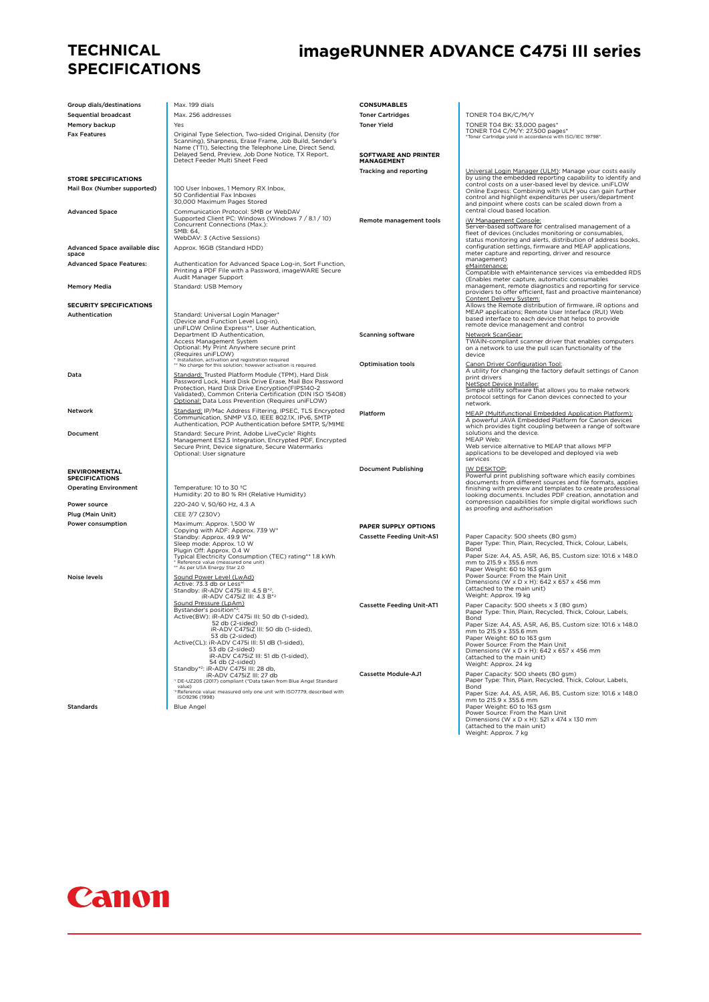### **TECHNICAL SPECIFICATIONS**

# **imageRUNNER ADVANCE C475i III series**

| Group dials/destinations                                   | Max. 199 dials                                                                                                                                                                                                                                                                      | <b>CONSUMABLES</b>               |                                                                                                                                                                                                                                           |
|------------------------------------------------------------|-------------------------------------------------------------------------------------------------------------------------------------------------------------------------------------------------------------------------------------------------------------------------------------|----------------------------------|-------------------------------------------------------------------------------------------------------------------------------------------------------------------------------------------------------------------------------------------|
| <b>Sequential broadcast</b>                                | Max. 256 addresses<br>Yes                                                                                                                                                                                                                                                           | <b>Toner Cartridges</b>          | TONER T04 BK/C/M/Y                                                                                                                                                                                                                        |
| Memory backup<br><b>Fax Features</b>                       | Original Type Selection, Two-sided Original, Density (for                                                                                                                                                                                                                           | <b>Toner Yield</b>               | TONER T04 BK: 33,000 pages*<br>TONER T04 C/M/Y: 27,500 pages*                                                                                                                                                                             |
|                                                            | Scanning), Sharpness, Erase Frame, Job Build, Sender's<br>Name (TTI), Selecting the Telephone Line, Direct Send,<br>Delayed Send, Preview, Job Done Notice, TX Report,                                                                                                              | <b>SOFTWARE AND PRINTER</b>      | *Toner Cartridge yield in accordance with ISO/IEC 19798*.                                                                                                                                                                                 |
|                                                            | Detect Feeder Multi Sheet Feed                                                                                                                                                                                                                                                      | MANAGEMENT                       |                                                                                                                                                                                                                                           |
|                                                            |                                                                                                                                                                                                                                                                                     | Tracking and reporting           | Universal Login Manager (ULM): Manage your costs easily<br>by using the embedded reporting capability to identify and                                                                                                                     |
| <b>STORE SPECIFICATIONS</b><br>Mail Box (Number supported) | 100 User Inboxes, 1 Memory RX Inbox,                                                                                                                                                                                                                                                |                                  | control costs on a user-based level by device. uniFLOW                                                                                                                                                                                    |
|                                                            | 50 Confidential Fax Inboxes<br>30,000 Maximum Pages Stored                                                                                                                                                                                                                          |                                  | Online Express: Combining with ULM you can gain further<br>control and highlight expenditures per users/department<br>and pinpoint where costs can be scaled down from a                                                                  |
| <b>Advanced Space</b>                                      | Communication Protocol: SMB or WebDAV<br>Supported Client PC: Windows (Windows 7 / 8.1 / 10)<br>Concurrent Connections (Max.):<br>SMB: 64,<br>WebDAV: 3 (Active Sessions)                                                                                                           | Remote management tools          | central cloud based location.<br>iW Management Console:<br>Server-based software for centralised management of a<br>fleet of devices (includes monitoring or consumables,<br>status monitoring and alerts, distribution of address books, |
| Advanced Space available disc<br>space                     | Approx. 16GB (Standard HDD)                                                                                                                                                                                                                                                         |                                  | configuration settings, firmware and MEAP applications,<br>meter capture and reporting, driver and resource                                                                                                                               |
| <b>Advanced Space Features:</b>                            | Authentication for Advanced Space Log-in, Sort Function,<br>Printing a PDF File with a Password, imageWARE Secure<br>Audit Manager Support                                                                                                                                          |                                  | management)<br>eMaintenance:<br>Compatible with eMaintenance services via embedded RDS<br>(Enables meter capture, automatic consumables                                                                                                   |
| <b>Memory Media</b>                                        | Standard: USB Memory                                                                                                                                                                                                                                                                |                                  | management, remote diagnostics and reporting for service<br>providers to offer efficient, fast and proactive maintenance)                                                                                                                 |
| <b>SECURITY SPECIFICATIONS</b>                             |                                                                                                                                                                                                                                                                                     |                                  | Content Delivery System:<br>Allows the Remote distribution of firmware, iR options and                                                                                                                                                    |
| Authentication                                             | Standard: Universal Login Manager*<br>(Device and Function Level Log-in),<br>uniFLOW Online Express**, User Authentication,                                                                                                                                                         |                                  | MEAP applications; Remote User Interface (RUI) Web<br>based interface to each device that helps to provide<br>remote device management and control                                                                                        |
|                                                            | Department ID Authentication,<br>Access Management System<br>Optional: My Print Anywhere secure print                                                                                                                                                                               | <b>Scanning software</b>         | Network ScanGear:<br>TWAIN-compliant scanner driver that enables computers<br>on a network to use the pull scan functionality of the                                                                                                      |
|                                                            | (Requires uniFLOW)<br>Installation, activation and registration required                                                                                                                                                                                                            |                                  | device                                                                                                                                                                                                                                    |
|                                                            | ** No charge for this solution; however activation is required.                                                                                                                                                                                                                     | <b>Optimisation tools</b>        | Canon Driver Configuration Tool:<br>A utility for changing the factory default settings of Canon                                                                                                                                          |
| Data                                                       | Standard: Trusted Platform Module (TPM), Hard Disk<br>Password Lock, Hard Disk Drive Erase, Mail Box Password<br>Protection, Hard Disk Drive Encryption(FIPS140-2<br>Validated), Common Criteria Certification (DIN ISO 15408)<br>Optional: Data Loss Prevention (Requires uniFLOW) |                                  | print drivers<br>NetSpot Device Installer:<br>Simple utility software that allows you to make network<br>protocol settings for Canon devices connected to your                                                                            |
| Network                                                    | Standard: IP/Mac Address Filtering, IPSEC, TLS Encrypted                                                                                                                                                                                                                            | Platform                         | network.<br>MEAP (Multifunctional Embedded Application Platform);                                                                                                                                                                         |
| Document                                                   | Communication, SNMP V3.0, IEEE 802.1X, IPv6, SMTP<br>Authentication, POP Authentication before SMTP, S/MIME<br>Standard: Secure Print, Adobe LiveCycle® Rights                                                                                                                      |                                  | A powerful JAVA Embedded Platform for Canon devices<br>which provides tight coupling between a range of software<br>solutions and the device.                                                                                             |
|                                                            | Management ES2.5 Integration, Encrypted PDF, Encrypted<br>Secure Print, Device signature, Secure Watermarks<br>Optional: User signature                                                                                                                                             |                                  | MEAP Web:<br>Web service alternative to MEAP that allows MFP<br>applications to be developed and deployed via web<br>services                                                                                                             |
| <b>ENVIRONMENTAL</b><br><b>SPECIFICATIONS</b>              |                                                                                                                                                                                                                                                                                     | <b>Document Publishing</b>       | IW DESKTOP:<br>Powerful print publishing software which easily combines                                                                                                                                                                   |
| <b>Operating Environment</b>                               | Temperature: 10 to 30 °C<br>Humidity: 20 to 80 % RH (Relative Humidity)                                                                                                                                                                                                             |                                  | documents from different sources and file formats, applies<br>finishing with preview and templates to create professional<br>looking documents. Includes PDF creation, annotation and                                                     |
| Power source                                               | 220-240 V, 50/60 Hz, 4.3 A                                                                                                                                                                                                                                                          |                                  | compression capabilities for simple digital workflows such<br>as proofing and authorisation                                                                                                                                               |
| Plug (Main Unit)                                           | CEE 7/7 (230V)                                                                                                                                                                                                                                                                      |                                  |                                                                                                                                                                                                                                           |
| Power consumption                                          | Maximum: Approx. 1,500 W                                                                                                                                                                                                                                                            | PAPER SUPPLY OPTIONS             |                                                                                                                                                                                                                                           |
|                                                            | Copying with ADF: Approx. 739 W*<br>Standby: Approx. 49.9 W*<br>Sleep mode: Approx. 1.0 W                                                                                                                                                                                           | <b>Cassette Feeding Unit-AS1</b> | Paper Capacity: 500 sheets (80 gsm)<br>Paper Type: Thin, Plain, Recycled, Thick, Colour, Labels,                                                                                                                                          |
|                                                            | Plugin Off: Approx. 0.4 W<br>Typical Electricity Consumption (TEC) rating** 1.8 kWh<br>* Reference value (measured one unit)<br>** As per USA Energy Star 2.0                                                                                                                       |                                  | Bond<br>Paper Size: A4, A5, A5R, A6, B5, Custom size: 101.6 x 148.0<br>mm to 215.9 x 355.6 mm                                                                                                                                             |
| Noise levels                                               | Sound Power Level (LwAd)                                                                                                                                                                                                                                                            |                                  | Paper Weight: 60 to 163 gsm<br>Power Source: From the Main Unit                                                                                                                                                                           |
|                                                            | Active: 73.3 db or Less*1<br>Standby: iR-ADV C475i III: 4.5 B*2,                                                                                                                                                                                                                    |                                  | Dimensions (W x D x H): 642 x 657 x 456 mm<br>(attached to the main unit)                                                                                                                                                                 |
|                                                            | iR-ADV C475iZ III: 4.3 B*2                                                                                                                                                                                                                                                          |                                  | Weight: Approx. 19 kg                                                                                                                                                                                                                     |
|                                                            | Sound Pressure (LpAm)<br>Bystander's position*2:                                                                                                                                                                                                                                    | <b>Cassette Feeding Unit-AT1</b> | Paper Capacity: 500 sheets x 3 (80 gsm)<br>Paper Type: Thin, Plain, Recycled, Thick, Colour, Labels,                                                                                                                                      |
|                                                            | Active(BW): iR-ADV C475i III: 50 db (1-sided),<br>52 db (2-sided)                                                                                                                                                                                                                   |                                  | Bond<br>Paper Size: A4, A5, A5R, A6, B5, Custom size: 101.6 x 148.0                                                                                                                                                                       |
|                                                            | iR-ADV C475iZ III: 50 db (1-sided),                                                                                                                                                                                                                                                 |                                  | mm to 215.9 x 355.6 mm                                                                                                                                                                                                                    |
|                                                            | 53 db (2-sided)<br>Active(CL): iR-ADV C475i III: 51 dB (1-sided),                                                                                                                                                                                                                   |                                  | Paper Weight: 60 to 163 gsm<br>Power Source: From the Main Unit                                                                                                                                                                           |
|                                                            | 53 db (2-sided)<br>iR-ADV C475iZ III: 51 db (1-sided),<br>54 db (2-sided)                                                                                                                                                                                                           |                                  | Dimensions (W x D x H): 642 x 657 x 456 mm<br>(attached to the main unit)                                                                                                                                                                 |
|                                                            | Standby*2: iR-ADV C475i III: 28 db,                                                                                                                                                                                                                                                 | <b>Cassette Module-AJ1</b>       | Weight: Approx. 24 kg                                                                                                                                                                                                                     |
|                                                            | iR-ADV C475iZ III: 27 db<br>"DE-UZ205 (2017) compliant (*Data taken from Blue Angel Standard                                                                                                                                                                                        |                                  | Paper Capacity: 500 sheets (80 gsm)<br>Paper Type: Thin, Plain, Recycled, Thick, Colour, Labels,                                                                                                                                          |
|                                                            | value)<br><sup>2</sup> Reference value: measured only one unit with ISO7779, described with                                                                                                                                                                                         |                                  | <b>Bond</b><br>Paper Size: A4, A5, A5R, A6, B5, Custom size: 101.6 x 148.0                                                                                                                                                                |
| <b>Standards</b>                                           | ISO9296 (1998)                                                                                                                                                                                                                                                                      |                                  | mm to 215.9 x 355.6 mm<br>Paper Weight: 60 to 163 gsm                                                                                                                                                                                     |
|                                                            | <b>Blue Angel</b>                                                                                                                                                                                                                                                                   |                                  | Power Source: From the Main Unit                                                                                                                                                                                                          |
|                                                            |                                                                                                                                                                                                                                                                                     |                                  | Dimensions (W x D x H): 521 x 474 x 130 mm<br>(attached to the main unit)<br>Weight: Approx. 7 kg                                                                                                                                         |